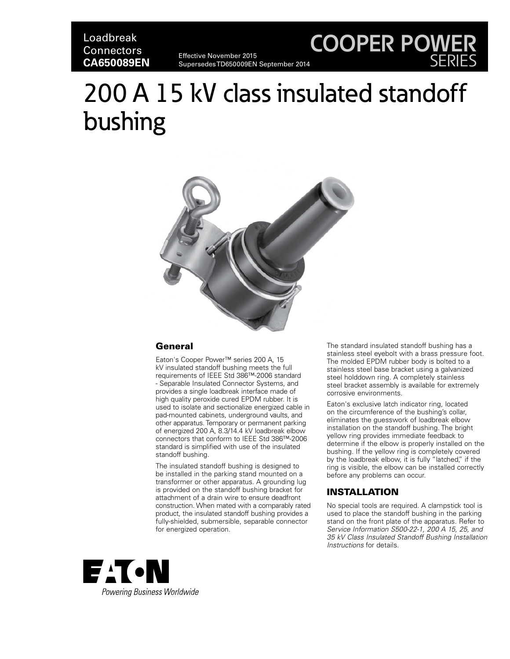# Loadbreak **Connectors CA650089EN**

Effective November 2015 Supersedes TD650009EN September 2014

# 200 A 15 kV class insulated standoff bushing



## **General**

Eaton's Cooper Power™ series 200 A, 15 kV insulated standoff bushing meets the full requirements of IEEE Std 386™-2006 standard - Separable Insulated Connector Systems, and provides a single loadbreak interface made of high quality peroxide cured EPDM rubber. It is used to isolate and sectionalize energized cable in pad-mounted cabinets, underground vaults, and other apparatus. Temporary or permanent parking of energized 200 A, 8.3/14.4 kV loadbreak elbow connectors that conform to IEEE Std 386™-2006 standard is simplified with use of the insulated standoff bushing.

The insulated standoff bushing is designed to be installed in the parking stand mounted on a transformer or other apparatus. A grounding lug is provided on the standoff bushing bracket for attachment of a drain wire to ensure deadfront construction. When mated with a comparably rated product, the insulated standoff bushing provides a fully-shielded, submersible, separable connector for energized operation.

The standard insulated standoff bushing has a stainless steel eyebolt with a brass pressure foot. The molded EPDM rubber body is bolted to a stainless steel base bracket using a galvanized steel holddown ring. A completely stainless steel bracket assembly is available for extremely corrosive environments.

**COOPER POWER**

SERIES

Eaton's exclusive latch indicator ring, located on the circumference of the bushing's collar, eliminates the guesswork of loadbreak elbow installation on the standoff bushing. The bright yellow ring provides immediate feedback to determine if the elbow is properly installed on the bushing. If the yellow ring is completely covered by the loadbreak elbow, it is fully "latched," if the ring is visible, the elbow can be installed correctly before any problems can occur.

# INSTALLATION

No special tools are required. A clampstick tool is used to place the standoff bushing in the parking stand on the front plate of the apparatus. Refer to *Service Information S500-22-1, 200 A 15, 25, and 35 kV Class Insulated Standoff Bushing Installation Instructions* for details.